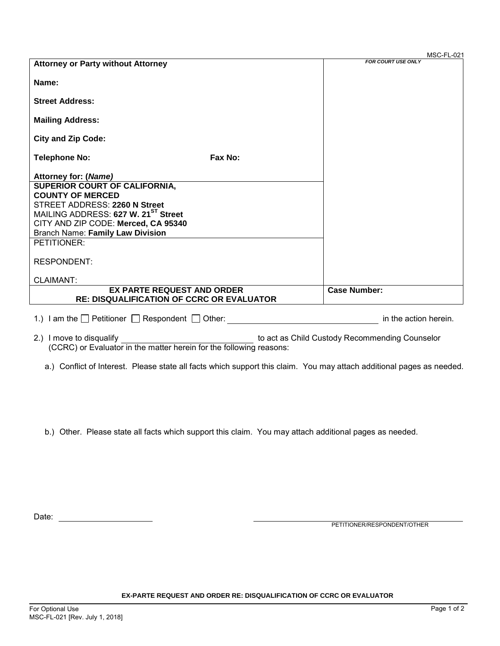|                                                  |         | MSC-FL-021                |
|--------------------------------------------------|---------|---------------------------|
| <b>Attorney or Party without Attorney</b>        |         | <b>FOR COURT USE ONLY</b> |
|                                                  |         |                           |
| Name:                                            |         |                           |
|                                                  |         |                           |
| <b>Street Address:</b>                           |         |                           |
|                                                  |         |                           |
| <b>Mailing Address:</b>                          |         |                           |
|                                                  |         |                           |
| <b>City and Zip Code:</b>                        |         |                           |
|                                                  |         |                           |
| <b>Telephone No:</b>                             | Fax No: |                           |
|                                                  |         |                           |
| Attorney for: (Name)                             |         |                           |
| <b>SUPERIOR COURT OF CALIFORNIA,</b>             |         |                           |
| <b>COUNTY OF MERCED</b>                          |         |                           |
| STREET ADDRESS: 2260 N Street                    |         |                           |
| MAILING ADDRESS: 627 W. 21 <sup>ST</sup> Street  |         |                           |
| CITY AND ZIP CODE: Merced, CA 95340              |         |                           |
| <b>Branch Name: Family Law Division</b>          |         |                           |
| PETITIONER:                                      |         |                           |
|                                                  |         |                           |
| <b>RESPONDENT:</b>                               |         |                           |
|                                                  |         |                           |
| <b>CLAIMANT:</b>                                 |         |                           |
| <b>EX PARTE REQUEST AND ORDER</b>                |         | <b>Case Number:</b>       |
| <b>RE: DISQUALIFICATION OF CCRC OR EVALUATOR</b> |         |                           |
|                                                  |         |                           |

| 1.) I am the $\Box$ Petitioner $\Box$ Respondent $\Box$ Other:<br>in the action herein. |
|-----------------------------------------------------------------------------------------|
|-----------------------------------------------------------------------------------------|

| 2.) I move to disqualify                                            | to act as Child Custody Recommending Counselor |
|---------------------------------------------------------------------|------------------------------------------------|
| (CCRC) or Evaluator in the matter herein for the following reasons: |                                                |

a.) Conflict of Interest. Please state all facts which support this claim. You may attach additional pages as needed.

b.) Other. Please state all facts which support this claim. You may attach additional pages as needed.

Date:

PETITIONER/RESPONDENT/OTHER